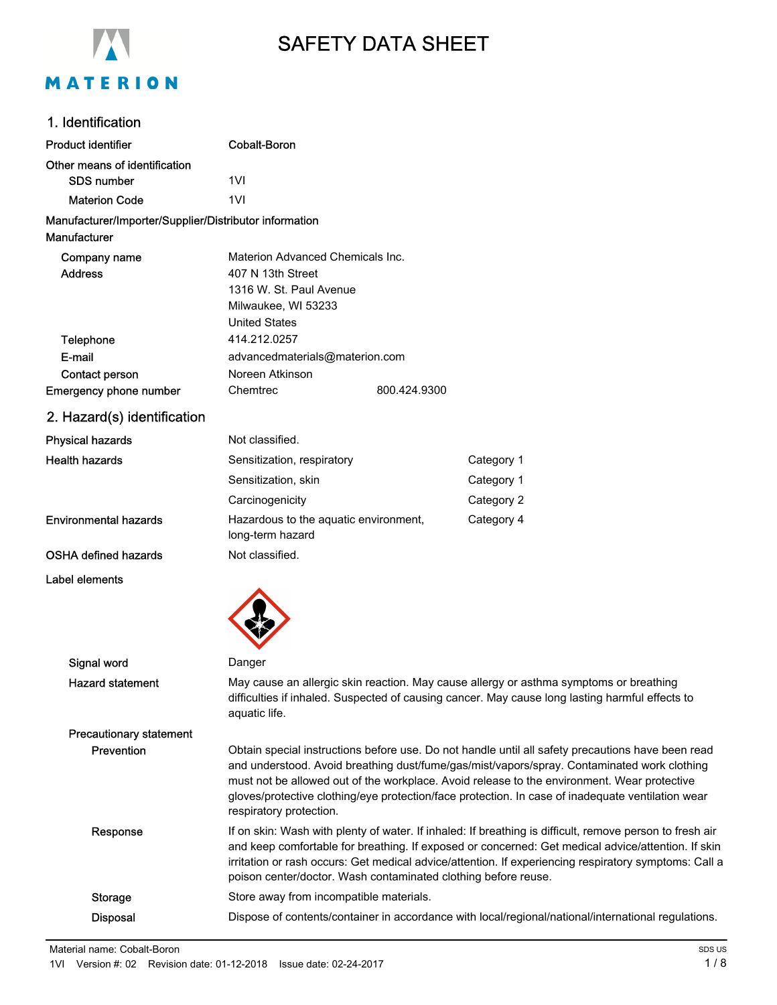

# SAFETY DATA SHEET

# 1. Identification

| <b>Product identifier</b>                                              | Cobalt-Boron                                              |  |            |
|------------------------------------------------------------------------|-----------------------------------------------------------|--|------------|
| Other means of identification                                          |                                                           |  |            |
| <b>SDS</b> number                                                      | 1VI                                                       |  |            |
| <b>Materion Code</b>                                                   | 1VI                                                       |  |            |
| Manufacturer/Importer/Supplier/Distributor information<br>Manufacturer |                                                           |  |            |
| Company name                                                           | Materion Advanced Chemicals Inc.                          |  |            |
| <b>Address</b>                                                         | 407 N 13th Street                                         |  |            |
|                                                                        | 1316 W. St. Paul Avenue                                   |  |            |
|                                                                        | Milwaukee, WI 53233                                       |  |            |
|                                                                        | <b>United States</b>                                      |  |            |
| <b>Telephone</b>                                                       | 414.212.0257                                              |  |            |
| E-mail                                                                 | advancedmaterials@materion.com                            |  |            |
| Contact person                                                         | Noreen Atkinson                                           |  |            |
| <b>Emergency phone number</b>                                          | Chemtrec<br>800.424.9300                                  |  |            |
| 2. Hazard(s) identification                                            |                                                           |  |            |
| <b>Physical hazards</b>                                                | Not classified.                                           |  |            |
| <b>Health hazards</b>                                                  | Sensitization, respiratory                                |  | Category 1 |
|                                                                        | Sensitization, skin                                       |  | Category 1 |
|                                                                        | Carcinogenicity                                           |  | Category 2 |
| <b>Environmental hazards</b>                                           | Hazardous to the aquatic environment,<br>long-term hazard |  | Category 4 |

### OSHA defined hazards Not classified.

#### Label elements



| Signal word                    | Danger                                                                                                                                                                                                                                                                                                                                                                                                                          |
|--------------------------------|---------------------------------------------------------------------------------------------------------------------------------------------------------------------------------------------------------------------------------------------------------------------------------------------------------------------------------------------------------------------------------------------------------------------------------|
| <b>Hazard statement</b>        | May cause an allergic skin reaction. May cause allergy or asthma symptoms or breathing<br>difficulties if inhaled. Suspected of causing cancer. May cause long lasting harmful effects to<br>aquatic life.                                                                                                                                                                                                                      |
| <b>Precautionary statement</b> |                                                                                                                                                                                                                                                                                                                                                                                                                                 |
| <b>Prevention</b>              | Obtain special instructions before use. Do not handle until all safety precautions have been read<br>and understood. Avoid breathing dust/fume/gas/mist/vapors/spray. Contaminated work clothing<br>must not be allowed out of the workplace. Avoid release to the environment. Wear protective<br>gloves/protective clothing/eye protection/face protection. In case of inadequate ventilation wear<br>respiratory protection. |
| Response                       | If on skin: Wash with plenty of water. If inhaled: If breathing is difficult, remove person to fresh air<br>and keep comfortable for breathing. If exposed or concerned: Get medical advice/attention. If skin<br>irritation or rash occurs: Get medical advice/attention. If experiencing respiratory symptoms: Call a<br>poison center/doctor. Wash contaminated clothing before reuse.                                       |
| Storage                        | Store away from incompatible materials.                                                                                                                                                                                                                                                                                                                                                                                         |
| <b>Disposal</b>                | Dispose of contents/container in accordance with local/regional/national/international regulations.                                                                                                                                                                                                                                                                                                                             |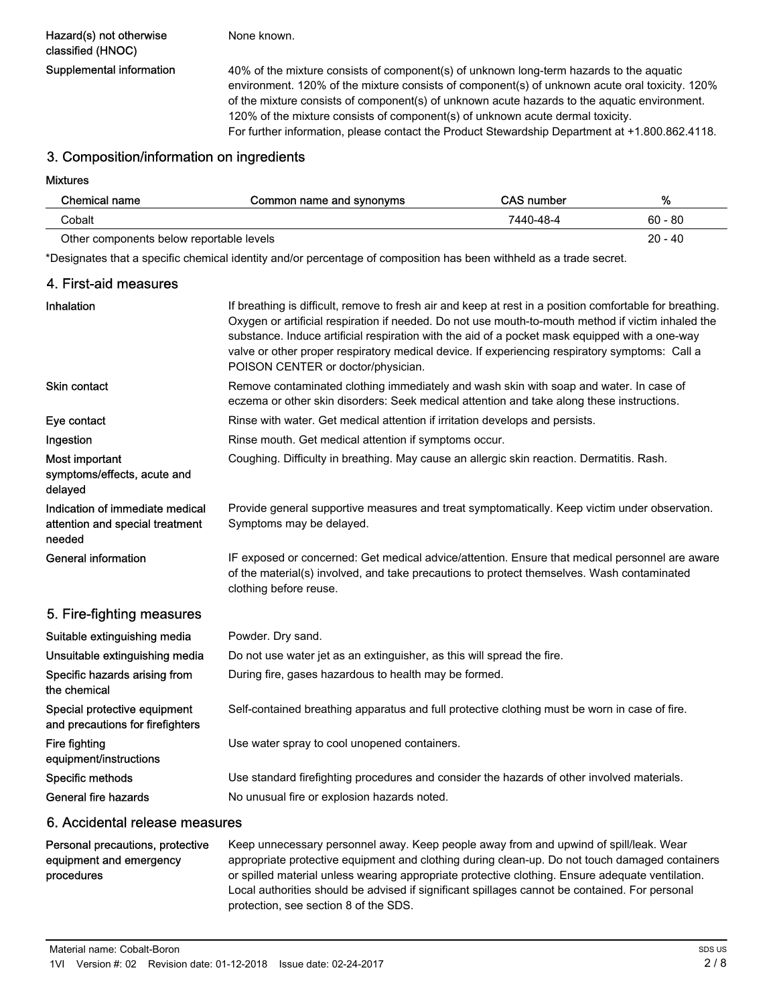Hazard(s) not otherwise classified (HNOC)

None known.

Supplemental information 40% of the mixture consists of component(s) of unknown long-term hazards to the aquatic environment. 120% of the mixture consists of component(s) of unknown acute oral toxicity. 120% of the mixture consists of component(s) of unknown acute hazards to the aquatic environment. 120% of the mixture consists of component(s) of unknown acute dermal toxicity. For further information, please contact the Product Stewardship Department at +1.800.862.4118.

#### 3. Composition/information on ingredients

Mixtures

| Chemical name                            | Common name and synonyms | CAS number | %         |
|------------------------------------------|--------------------------|------------|-----------|
| Cobalt                                   |                          | 7440-48-4  | $60 - 80$ |
| Other components below reportable levels |                          |            | $20 - 40$ |

\*Designates that a specific chemical identity and/or percentage of composition has been withheld as a trade secret.

#### 4. First-aid measures

| Inhalation                                                                   | If breathing is difficult, remove to fresh air and keep at rest in a position comfortable for breathing.<br>Oxygen or artificial respiration if needed. Do not use mouth-to-mouth method if victim inhaled the<br>substance. Induce artificial respiration with the aid of a pocket mask equipped with a one-way<br>valve or other proper respiratory medical device. If experiencing respiratory symptoms: Call a<br>POISON CENTER or doctor/physician. |  |
|------------------------------------------------------------------------------|----------------------------------------------------------------------------------------------------------------------------------------------------------------------------------------------------------------------------------------------------------------------------------------------------------------------------------------------------------------------------------------------------------------------------------------------------------|--|
| <b>Skin contact</b>                                                          | Remove contaminated clothing immediately and wash skin with soap and water. In case of<br>eczema or other skin disorders: Seek medical attention and take along these instructions.                                                                                                                                                                                                                                                                      |  |
| Eye contact                                                                  | Rinse with water. Get medical attention if irritation develops and persists.                                                                                                                                                                                                                                                                                                                                                                             |  |
| Ingestion                                                                    | Rinse mouth. Get medical attention if symptoms occur.                                                                                                                                                                                                                                                                                                                                                                                                    |  |
| Most important<br>symptoms/effects, acute and<br>delayed                     | Coughing. Difficulty in breathing. May cause an allergic skin reaction. Dermatitis. Rash.                                                                                                                                                                                                                                                                                                                                                                |  |
| Indication of immediate medical<br>attention and special treatment<br>needed | Provide general supportive measures and treat symptomatically. Keep victim under observation.<br>Symptoms may be delayed.                                                                                                                                                                                                                                                                                                                                |  |
| <b>General information</b>                                                   | IF exposed or concerned: Get medical advice/attention. Ensure that medical personnel are aware<br>of the material(s) involved, and take precautions to protect themselves. Wash contaminated<br>clothing before reuse.                                                                                                                                                                                                                                   |  |
| 5. Fire-fighting measures                                                    |                                                                                                                                                                                                                                                                                                                                                                                                                                                          |  |
| Suitable extinguishing media                                                 | Powder. Dry sand.                                                                                                                                                                                                                                                                                                                                                                                                                                        |  |
| Unsuitable extinguishing media                                               | Do not use water jet as an extinguisher, as this will spread the fire.                                                                                                                                                                                                                                                                                                                                                                                   |  |
| Specific hazards arising from<br>the chemical                                | During fire, gases hazardous to health may be formed.                                                                                                                                                                                                                                                                                                                                                                                                    |  |
| Special protective equipment<br>and precautions for firefighters             | Self-contained breathing apparatus and full protective clothing must be worn in case of fire.                                                                                                                                                                                                                                                                                                                                                            |  |
| Fire fighting<br>equipment/instructions                                      | Use water spray to cool unopened containers.                                                                                                                                                                                                                                                                                                                                                                                                             |  |
| Specific methods                                                             | Use standard firefighting procedures and consider the hazards of other involved materials.                                                                                                                                                                                                                                                                                                                                                               |  |
| General fire hazards                                                         |                                                                                                                                                                                                                                                                                                                                                                                                                                                          |  |

#### 6. Accidental release measures

#### Personal precautions, protective equipment and emergency procedures

Keep unnecessary personnel away. Keep people away from and upwind of spill/leak. Wear appropriate protective equipment and clothing during clean-up. Do not touch damaged containers or spilled material unless wearing appropriate protective clothing. Ensure adequate ventilation. Local authorities should be advised if significant spillages cannot be contained. For personal protection, see section 8 of the SDS.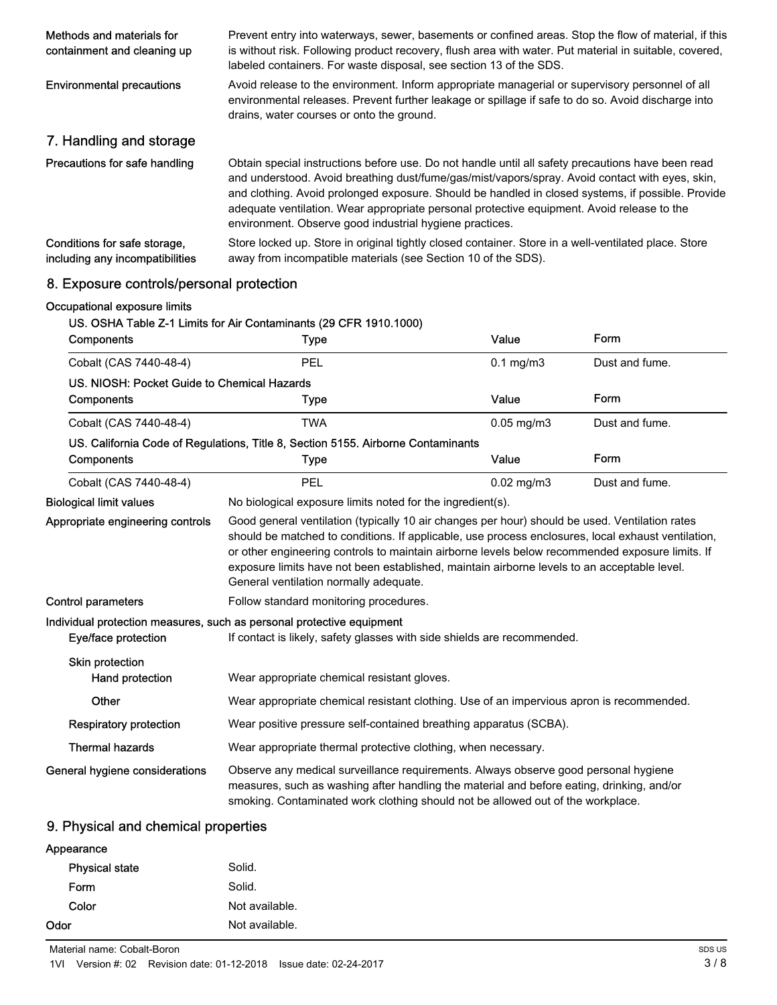| Methods and materials for<br>containment and cleaning up        | Prevent entry into waterways, sewer, basements or confined areas. Stop the flow of material, if this<br>is without risk. Following product recovery, flush area with water. Put material in suitable, covered,<br>labeled containers. For waste disposal, see section 13 of the SDS.                                                                                                                                                                               |  |
|-----------------------------------------------------------------|--------------------------------------------------------------------------------------------------------------------------------------------------------------------------------------------------------------------------------------------------------------------------------------------------------------------------------------------------------------------------------------------------------------------------------------------------------------------|--|
| <b>Environmental precautions</b>                                | Avoid release to the environment. Inform appropriate managerial or supervisory personnel of all<br>environmental releases. Prevent further leakage or spillage if safe to do so. Avoid discharge into<br>drains, water courses or onto the ground.                                                                                                                                                                                                                 |  |
| 7. Handling and storage                                         |                                                                                                                                                                                                                                                                                                                                                                                                                                                                    |  |
| Precautions for safe handling                                   | Obtain special instructions before use. Do not handle until all safety precautions have been read<br>and understood. Avoid breathing dust/fume/gas/mist/vapors/spray. Avoid contact with eyes, skin,<br>and clothing. Avoid prolonged exposure. Should be handled in closed systems, if possible. Provide<br>adequate ventilation. Wear appropriate personal protective equipment. Avoid release to the<br>environment. Observe good industrial hygiene practices. |  |
| Conditions for safe storage,<br>including any incompatibilities | Store locked up. Store in original tightly closed container. Store in a well-ventilated place. Store<br>away from incompatible materials (see Section 10 of the SDS).                                                                                                                                                                                                                                                                                              |  |

# 8. Exposure controls/personal protection

| Occupational exposure limits                | US. OSHA Table Z-1 Limits for Air Contaminants (29 CFR 1910.1000)                                                                                                                                                                                                                                                                                                                                                                                |                 |                |
|---------------------------------------------|--------------------------------------------------------------------------------------------------------------------------------------------------------------------------------------------------------------------------------------------------------------------------------------------------------------------------------------------------------------------------------------------------------------------------------------------------|-----------------|----------------|
| <b>Components</b>                           | Type                                                                                                                                                                                                                                                                                                                                                                                                                                             | Value           | Form           |
| Cobalt (CAS 7440-48-4)                      | PEL                                                                                                                                                                                                                                                                                                                                                                                                                                              | $0.1$ mg/m $3$  | Dust and fume. |
| US. NIOSH: Pocket Guide to Chemical Hazards |                                                                                                                                                                                                                                                                                                                                                                                                                                                  |                 |                |
| Components                                  | <b>Type</b>                                                                                                                                                                                                                                                                                                                                                                                                                                      | Value           | Form           |
| Cobalt (CAS 7440-48-4)                      | <b>TWA</b>                                                                                                                                                                                                                                                                                                                                                                                                                                       | $0.05$ mg/m $3$ | Dust and fume. |
|                                             | US. California Code of Regulations, Title 8, Section 5155. Airborne Contaminants                                                                                                                                                                                                                                                                                                                                                                 |                 |                |
| Components                                  | <b>Type</b>                                                                                                                                                                                                                                                                                                                                                                                                                                      | Value           | Form           |
| Cobalt (CAS 7440-48-4)                      | PEL                                                                                                                                                                                                                                                                                                                                                                                                                                              | $0.02$ mg/m $3$ | Dust and fume. |
| <b>Biological limit values</b>              | No biological exposure limits noted for the ingredient(s).                                                                                                                                                                                                                                                                                                                                                                                       |                 |                |
|                                             | Good general ventilation (typically 10 air changes per hour) should be used. Ventilation rates<br>should be matched to conditions. If applicable, use process enclosures, local exhaust ventilation,<br>or other engineering controls to maintain airborne levels below recommended exposure limits. If<br>exposure limits have not been established, maintain airborne levels to an acceptable level.<br>General ventilation normally adequate. |                 |                |
| <b>Control parameters</b>                   | Follow standard monitoring procedures.                                                                                                                                                                                                                                                                                                                                                                                                           |                 |                |
| Eye/face protection                         | Individual protection measures, such as personal protective equipment<br>If contact is likely, safety glasses with side shields are recommended.                                                                                                                                                                                                                                                                                                 |                 |                |
| <b>Skin protection</b><br>Hand protection   | Wear appropriate chemical resistant gloves.                                                                                                                                                                                                                                                                                                                                                                                                      |                 |                |
| Other                                       | Wear appropriate chemical resistant clothing. Use of an impervious apron is recommended.                                                                                                                                                                                                                                                                                                                                                         |                 |                |
| <b>Respiratory protection</b>               | Wear positive pressure self-contained breathing apparatus (SCBA).                                                                                                                                                                                                                                                                                                                                                                                |                 |                |
| <b>Thermal hazards</b>                      | Wear appropriate thermal protective clothing, when necessary.                                                                                                                                                                                                                                                                                                                                                                                    |                 |                |
| General hygiene considerations              | Observe any medical surveillance requirements. Always observe good personal hygiene<br>measures, such as washing after handling the material and before eating, drinking, and/or<br>smoking. Contaminated work clothing should not be allowed out of the workplace.                                                                                                                                                                              |                 |                |

# 9. Physical and chemical properties

| Odor                  | Not available. |  |
|-----------------------|----------------|--|
| Color                 | Not available. |  |
| Form                  | Solid.         |  |
| <b>Physical state</b> | Solid.         |  |
| Appearance            |                |  |

Material name: Cobalt-Boron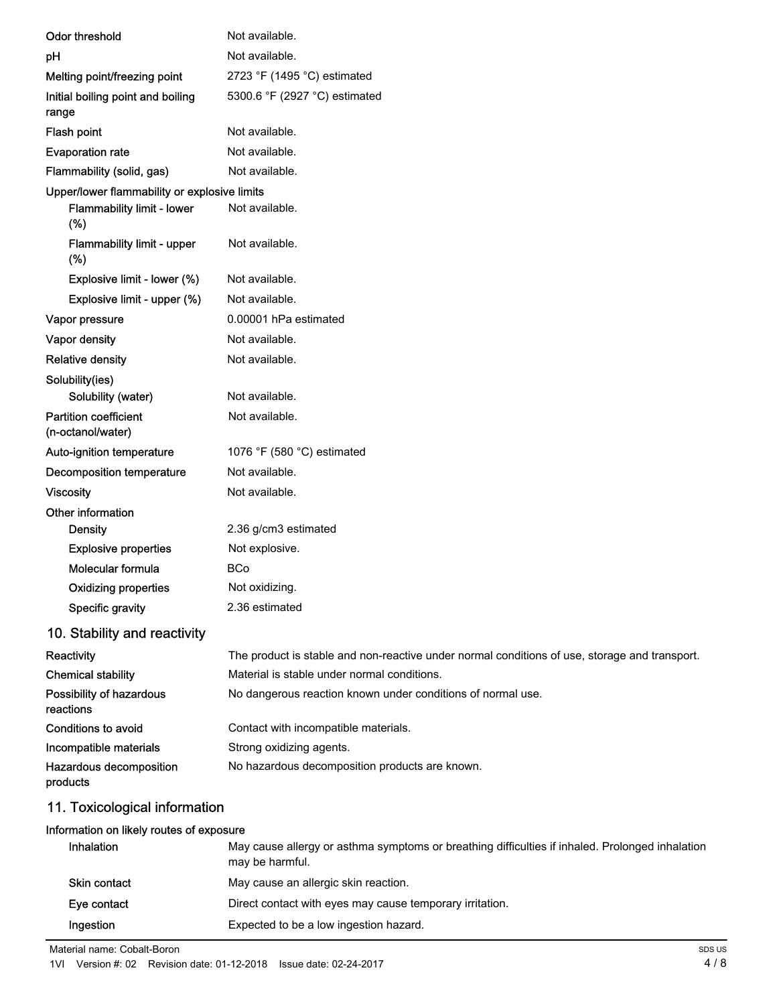| <b>Odor threshold</b>                             | Not available.                                                                                |  |  |
|---------------------------------------------------|-----------------------------------------------------------------------------------------------|--|--|
| pH                                                | Not available.                                                                                |  |  |
| Melting point/freezing point                      | 2723 °F (1495 °C) estimated                                                                   |  |  |
| Initial boiling point and boiling<br>range        | 5300.6 °F (2927 °C) estimated                                                                 |  |  |
| Flash point                                       | Not available.                                                                                |  |  |
| <b>Evaporation rate</b>                           | Not available.                                                                                |  |  |
| Flammability (solid, gas)                         | Not available.                                                                                |  |  |
| Upper/lower flammability or explosive limits      |                                                                                               |  |  |
| Flammability limit - lower<br>(%)                 | Not available.                                                                                |  |  |
| Flammability limit - upper<br>(%)                 | Not available.                                                                                |  |  |
| Explosive limit - lower (%)                       | Not available.                                                                                |  |  |
| Explosive limit - upper (%)                       | Not available.                                                                                |  |  |
| Vapor pressure                                    | 0.00001 hPa estimated                                                                         |  |  |
| Vapor density                                     | Not available.                                                                                |  |  |
| <b>Relative density</b>                           | Not available.                                                                                |  |  |
| Solubility(ies)                                   |                                                                                               |  |  |
| Solubility (water)                                | Not available.                                                                                |  |  |
| <b>Partition coefficient</b><br>(n-octanol/water) | Not available.                                                                                |  |  |
| Auto-ignition temperature                         | 1076 °F (580 °C) estimated                                                                    |  |  |
| Decomposition temperature                         | Not available.                                                                                |  |  |
| <b>Viscosity</b>                                  | Not available.                                                                                |  |  |
| Other information                                 |                                                                                               |  |  |
| <b>Density</b>                                    | 2.36 g/cm3 estimated                                                                          |  |  |
| <b>Explosive properties</b>                       | Not explosive.                                                                                |  |  |
| Molecular formula                                 | <b>BCo</b>                                                                                    |  |  |
| Oxidizing properties                              | Not oxidizing.                                                                                |  |  |
| Specific gravity                                  | 2.36 estimated                                                                                |  |  |
| 10. Stability and reactivity                      |                                                                                               |  |  |
| Reactivity                                        | The product is stable and non-reactive under normal conditions of use, storage and transport. |  |  |
| <b>Chemical stability</b>                         | Material is stable under normal conditions.                                                   |  |  |
| Possibility of hazardous<br>reactions             | No dangerous reaction known under conditions of normal use.                                   |  |  |
| <b>Conditions to avoid</b>                        | Contact with incompatible materials.                                                          |  |  |
| Incompatible materials                            | Strong oxidizing agents.                                                                      |  |  |
| Hazardous decomposition<br>products               | No hazardous decomposition products are known.                                                |  |  |
| 11. Toxicological information                     |                                                                                               |  |  |

#### Information on likely routes of exposure

| <b>Inhalation</b>   | May cause allergy or asthma symptoms or breathing difficulties if inhaled. Prolonged inhalation<br>may be harmful. |
|---------------------|--------------------------------------------------------------------------------------------------------------------|
| <b>Skin contact</b> | May cause an allergic skin reaction.                                                                               |
| Eye contact         | Direct contact with eyes may cause temporary irritation.                                                           |
| Ingestion           | Expected to be a low ingestion hazard.                                                                             |

Material name: Cobalt-Boron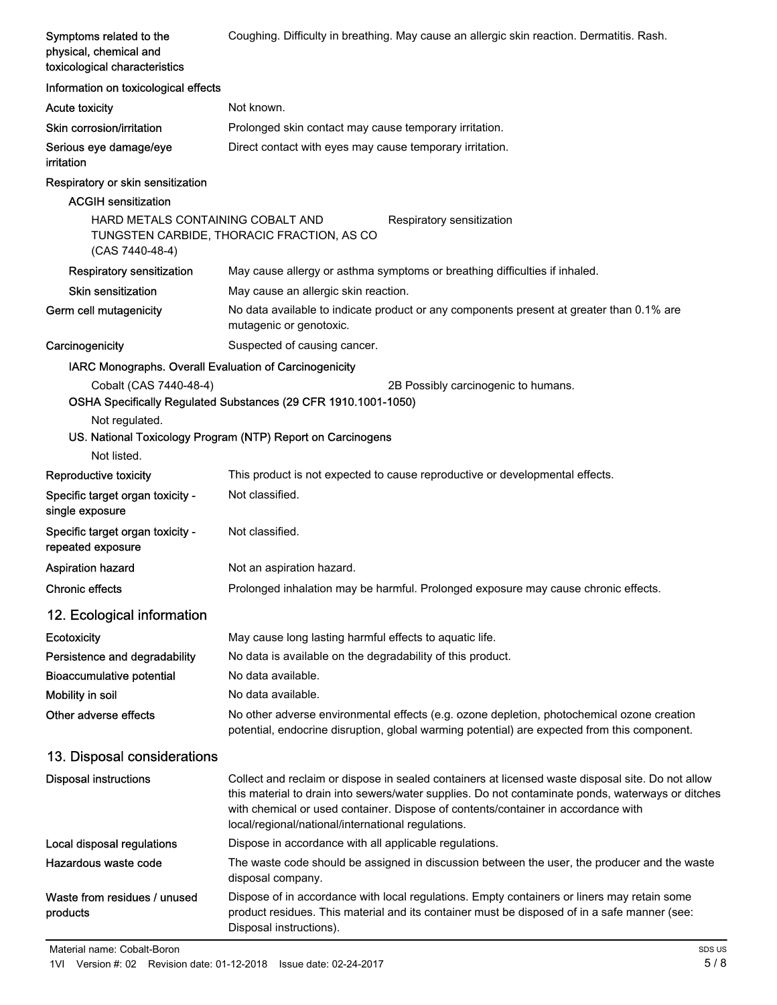| Symptoms related to the<br>physical, chemical and<br>toxicological characteristics | Coughing. Difficulty in breathing. May cause an allergic skin reaction. Dermatitis. Rash.                                                                                                                                                                                                                                                         |  |  |
|------------------------------------------------------------------------------------|---------------------------------------------------------------------------------------------------------------------------------------------------------------------------------------------------------------------------------------------------------------------------------------------------------------------------------------------------|--|--|
| Information on toxicological effects                                               |                                                                                                                                                                                                                                                                                                                                                   |  |  |
| Acute toxicity                                                                     | Not known.                                                                                                                                                                                                                                                                                                                                        |  |  |
| Skin corrosion/irritation                                                          | Prolonged skin contact may cause temporary irritation.                                                                                                                                                                                                                                                                                            |  |  |
| Serious eye damage/eye<br>irritation                                               | Direct contact with eyes may cause temporary irritation.                                                                                                                                                                                                                                                                                          |  |  |
| Respiratory or skin sensitization                                                  |                                                                                                                                                                                                                                                                                                                                                   |  |  |
| <b>ACGIH sensitization</b>                                                         |                                                                                                                                                                                                                                                                                                                                                   |  |  |
| HARD METALS CONTAINING COBALT AND<br>(CAS 7440-48-4)                               | Respiratory sensitization<br>TUNGSTEN CARBIDE, THORACIC FRACTION, AS CO                                                                                                                                                                                                                                                                           |  |  |
| Respiratory sensitization                                                          | May cause allergy or asthma symptoms or breathing difficulties if inhaled.                                                                                                                                                                                                                                                                        |  |  |
| <b>Skin sensitization</b>                                                          | May cause an allergic skin reaction.                                                                                                                                                                                                                                                                                                              |  |  |
| Germ cell mutagenicity                                                             | No data available to indicate product or any components present at greater than 0.1% are<br>mutagenic or genotoxic.                                                                                                                                                                                                                               |  |  |
| Carcinogenicity                                                                    | Suspected of causing cancer.                                                                                                                                                                                                                                                                                                                      |  |  |
| IARC Monographs. Overall Evaluation of Carcinogenicity                             |                                                                                                                                                                                                                                                                                                                                                   |  |  |
| Cobalt (CAS 7440-48-4)                                                             | 2B Possibly carcinogenic to humans.<br>OSHA Specifically Regulated Substances (29 CFR 1910.1001-1050)                                                                                                                                                                                                                                             |  |  |
| Not regulated.                                                                     | US. National Toxicology Program (NTP) Report on Carcinogens                                                                                                                                                                                                                                                                                       |  |  |
| Not listed.                                                                        |                                                                                                                                                                                                                                                                                                                                                   |  |  |
| Reproductive toxicity                                                              | This product is not expected to cause reproductive or developmental effects.                                                                                                                                                                                                                                                                      |  |  |
| Specific target organ toxicity -<br>single exposure                                | Not classified.                                                                                                                                                                                                                                                                                                                                   |  |  |
| Specific target organ toxicity -<br>repeated exposure                              | Not classified.                                                                                                                                                                                                                                                                                                                                   |  |  |
| <b>Aspiration hazard</b>                                                           | Not an aspiration hazard.                                                                                                                                                                                                                                                                                                                         |  |  |
| <b>Chronic effects</b>                                                             | Prolonged inhalation may be harmful. Prolonged exposure may cause chronic effects.                                                                                                                                                                                                                                                                |  |  |
| 12. Ecological information                                                         |                                                                                                                                                                                                                                                                                                                                                   |  |  |
| Ecotoxicity                                                                        | May cause long lasting harmful effects to aquatic life.                                                                                                                                                                                                                                                                                           |  |  |
| Persistence and degradability                                                      | No data is available on the degradability of this product.                                                                                                                                                                                                                                                                                        |  |  |
| <b>Bioaccumulative potential</b>                                                   | No data available.                                                                                                                                                                                                                                                                                                                                |  |  |
| Mobility in soil                                                                   | No data available.                                                                                                                                                                                                                                                                                                                                |  |  |
| Other adverse effects                                                              | No other adverse environmental effects (e.g. ozone depletion, photochemical ozone creation<br>potential, endocrine disruption, global warming potential) are expected from this component.                                                                                                                                                        |  |  |
| 13. Disposal considerations                                                        |                                                                                                                                                                                                                                                                                                                                                   |  |  |
| <b>Disposal instructions</b>                                                       | Collect and reclaim or dispose in sealed containers at licensed waste disposal site. Do not allow<br>this material to drain into sewers/water supplies. Do not contaminate ponds, waterways or ditches<br>with chemical or used container. Dispose of contents/container in accordance with<br>local/regional/national/international regulations. |  |  |
| Local disposal regulations                                                         | Dispose in accordance with all applicable regulations.                                                                                                                                                                                                                                                                                            |  |  |
| Hazardous waste code                                                               | The waste code should be assigned in discussion between the user, the producer and the waste<br>disposal company.                                                                                                                                                                                                                                 |  |  |
| Waste from residues / unused<br>products                                           | Dispose of in accordance with local regulations. Empty containers or liners may retain some<br>product residues. This material and its container must be disposed of in a safe manner (see:<br>Disposal instructions).                                                                                                                            |  |  |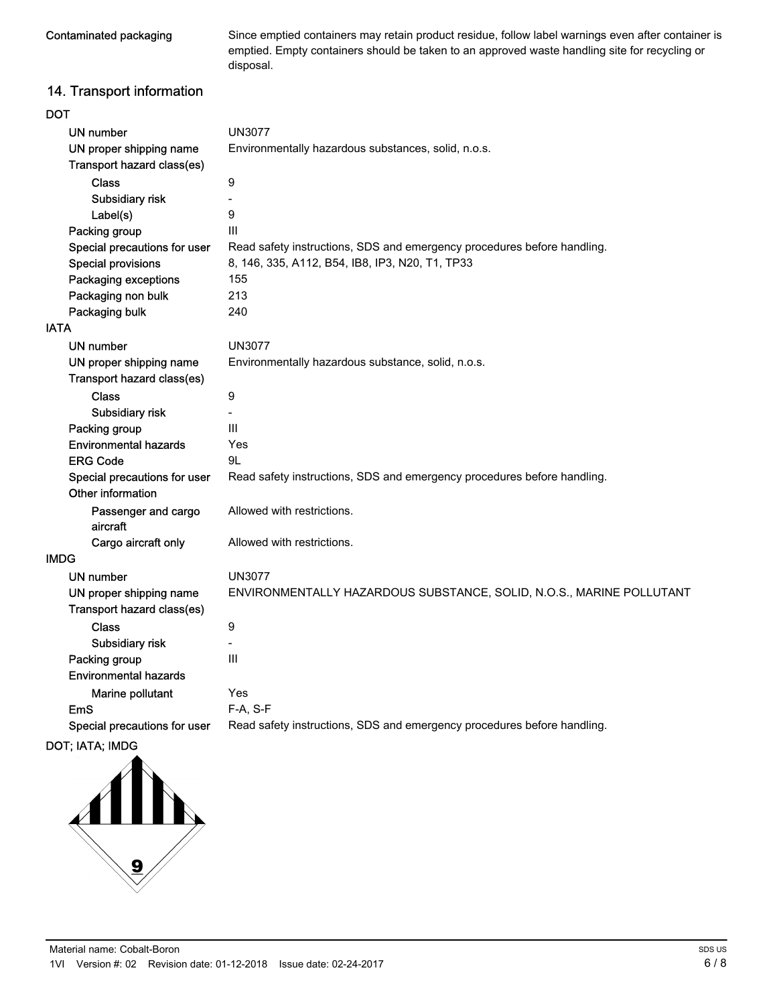Contaminated packaging

Since emptied containers may retain product residue, follow label warnings even after container is emptied. Empty containers should be taken to an approved waste handling site for recycling or disposal.

## 14. Transport information

| DOT                                               |                                                                         |  |
|---------------------------------------------------|-------------------------------------------------------------------------|--|
| <b>UN number</b>                                  | <b>UN3077</b>                                                           |  |
| UN proper shipping name                           | Environmentally hazardous substances, solid, n.o.s.                     |  |
| Transport hazard class(es)                        |                                                                         |  |
| <b>Class</b>                                      | $\boldsymbol{9}$                                                        |  |
| Subsidiary risk                                   | $\blacksquare$                                                          |  |
| Label(s)                                          | 9                                                                       |  |
| Packing group                                     | $\mathbf{III}$                                                          |  |
| Special precautions for user                      | Read safety instructions, SDS and emergency procedures before handling. |  |
| <b>Special provisions</b>                         | 8, 146, 335, A112, B54, IB8, IP3, N20, T1, TP33                         |  |
| Packaging exceptions                              | 155                                                                     |  |
| Packaging non bulk                                | 213                                                                     |  |
| Packaging bulk                                    | 240                                                                     |  |
| IATA                                              |                                                                         |  |
| <b>UN number</b>                                  | <b>UN3077</b>                                                           |  |
| UN proper shipping name                           | Environmentally hazardous substance, solid, n.o.s.                      |  |
| Transport hazard class(es)                        |                                                                         |  |
| <b>Class</b>                                      | $\boldsymbol{9}$                                                        |  |
| Subsidiary risk                                   |                                                                         |  |
| Packing group                                     | $\mathbf{III}$                                                          |  |
| <b>Environmental hazards</b>                      | Yes                                                                     |  |
| <b>ERG Code</b>                                   | 9L                                                                      |  |
| Special precautions for user<br>Other information | Read safety instructions, SDS and emergency procedures before handling. |  |
| Passenger and cargo<br>aircraft                   | Allowed with restrictions.                                              |  |
| Cargo aircraft only                               | Allowed with restrictions.                                              |  |
| IMDG                                              |                                                                         |  |
| UN number                                         | <b>UN3077</b>                                                           |  |
| UN proper shipping name                           | ENVIRONMENTALLY HAZARDOUS SUBSTANCE, SOLID, N.O.S., MARINE POLLUTANT    |  |
| Transport hazard class(es)                        |                                                                         |  |
| <b>Class</b>                                      | 9                                                                       |  |
| Subsidiary risk                                   | $\blacksquare$                                                          |  |
| Packing group                                     | $\mathbf{III}$                                                          |  |
| <b>Environmental hazards</b>                      |                                                                         |  |
| Marine pollutant                                  | Yes                                                                     |  |
| EmS                                               | F-A, S-F                                                                |  |
| Special precautions for user                      | Read safety instructions, SDS and emergency procedures before handling. |  |
|                                                   |                                                                         |  |

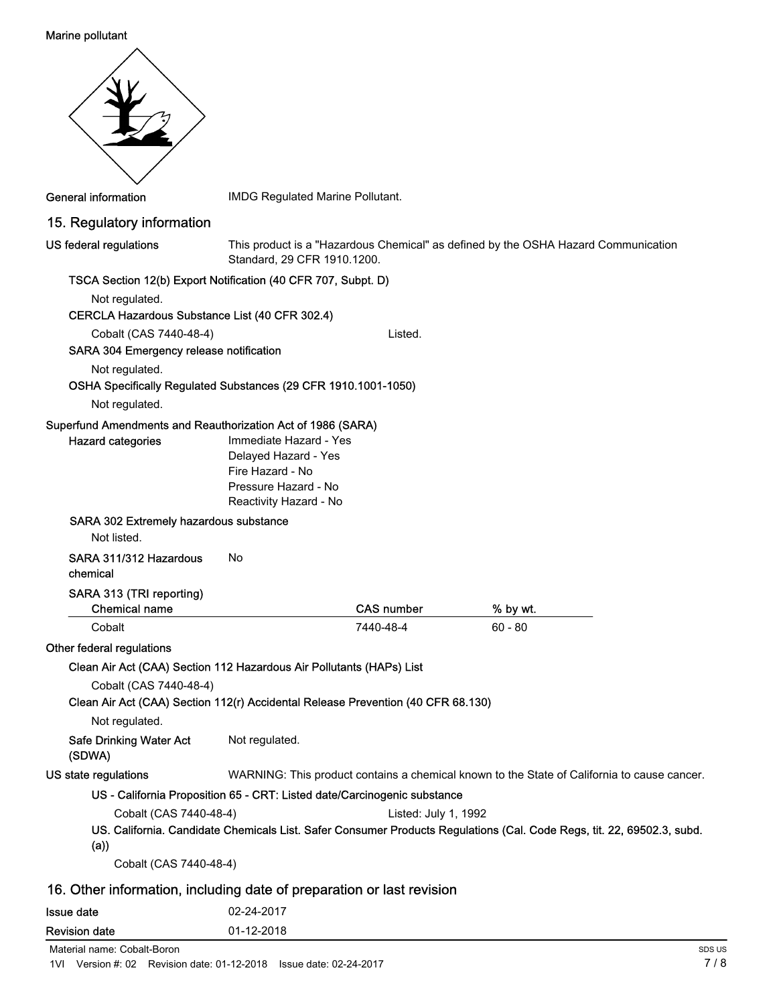#### Marine pollutant

| <b>General information</b>                                                                                                                                                         | IMDG Regulated Marine Pollutant.                                                                                     |                      |                                                                                                                        |
|------------------------------------------------------------------------------------------------------------------------------------------------------------------------------------|----------------------------------------------------------------------------------------------------------------------|----------------------|------------------------------------------------------------------------------------------------------------------------|
| 15. Regulatory information                                                                                                                                                         |                                                                                                                      |                      |                                                                                                                        |
| US federal regulations                                                                                                                                                             | Standard, 29 CFR 1910.1200.                                                                                          |                      | This product is a "Hazardous Chemical" as defined by the OSHA Hazard Communication                                     |
| TSCA Section 12(b) Export Notification (40 CFR 707, Subpt. D)                                                                                                                      |                                                                                                                      |                      |                                                                                                                        |
| Not regulated.                                                                                                                                                                     |                                                                                                                      |                      |                                                                                                                        |
| CERCLA Hazardous Substance List (40 CFR 302.4)                                                                                                                                     |                                                                                                                      |                      |                                                                                                                        |
| Cobalt (CAS 7440-48-4)<br>SARA 304 Emergency release notification                                                                                                                  |                                                                                                                      | Listed.              |                                                                                                                        |
| Not regulated.                                                                                                                                                                     |                                                                                                                      |                      |                                                                                                                        |
| OSHA Specifically Regulated Substances (29 CFR 1910.1001-1050)                                                                                                                     |                                                                                                                      |                      |                                                                                                                        |
| Not regulated.                                                                                                                                                                     |                                                                                                                      |                      |                                                                                                                        |
| <b>Hazard categories</b><br>SARA 302 Extremely hazardous substance                                                                                                                 | Immediate Hazard - Yes<br>Delayed Hazard - Yes<br>Fire Hazard - No<br>Pressure Hazard - No<br>Reactivity Hazard - No |                      |                                                                                                                        |
| Not listed.                                                                                                                                                                        |                                                                                                                      |                      |                                                                                                                        |
| SARA 311/312 Hazardous<br>chemical                                                                                                                                                 | No                                                                                                                   |                      |                                                                                                                        |
| SARA 313 (TRI reporting)                                                                                                                                                           |                                                                                                                      |                      |                                                                                                                        |
| <b>Chemical name</b>                                                                                                                                                               |                                                                                                                      | <b>CAS number</b>    | % by wt.                                                                                                               |
| Cobalt                                                                                                                                                                             |                                                                                                                      | 7440-48-4            | $60 - 80$                                                                                                              |
| Other federal regulations                                                                                                                                                          |                                                                                                                      |                      |                                                                                                                        |
| Clean Air Act (CAA) Section 112 Hazardous Air Pollutants (HAPs) List<br>Cobalt (CAS 7440-48-4)<br>Clean Air Act (CAA) Section 112(r) Accidental Release Prevention (40 CFR 68.130) |                                                                                                                      |                      |                                                                                                                        |
| Not regulated.                                                                                                                                                                     |                                                                                                                      |                      |                                                                                                                        |
| <b>Safe Drinking Water Act</b><br>(SDWA)                                                                                                                                           | Not regulated.                                                                                                       |                      |                                                                                                                        |
| US state regulations                                                                                                                                                               |                                                                                                                      |                      | WARNING: This product contains a chemical known to the State of California to cause cancer.                            |
| US - California Proposition 65 - CRT: Listed date/Carcinogenic substance                                                                                                           |                                                                                                                      |                      |                                                                                                                        |
| Cobalt (CAS 7440-48-4)<br>(a))                                                                                                                                                     |                                                                                                                      | Listed: July 1, 1992 | US. California. Candidate Chemicals List. Safer Consumer Products Regulations (Cal. Code Regs, tit. 22, 69502.3, subd. |
| Cobalt (CAS 7440-48-4)                                                                                                                                                             |                                                                                                                      |                      |                                                                                                                        |
| 16. Other information, including date of preparation or last revision                                                                                                              |                                                                                                                      |                      |                                                                                                                        |
| <b>Issue date</b>                                                                                                                                                                  | 02-24-2017                                                                                                           |                      |                                                                                                                        |
| <b>Revision date</b>                                                                                                                                                               | 01-12-2018                                                                                                           |                      |                                                                                                                        |

Material name: Cobalt-Boron